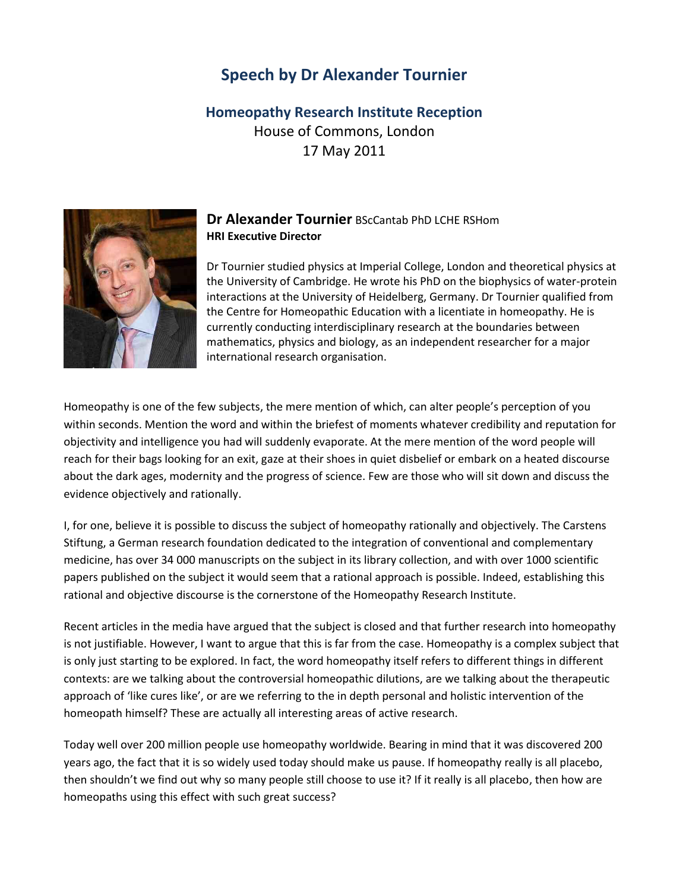## **Speech by Dr Alexander Tournier**

## **Homeopathy Research Institute Reception** House of Commons, London 17 May 2011



## **Dr Alexander Tournier** BScCantab PhD LCHE RSHom **HRI Executive Director**

Dr Tournier studied physics at Imperial College, London and theoretical physics at the University of Cambridge. He wrote his PhD on the biophysics of water-protein interactions at the University of Heidelberg, Germany. Dr Tournier qualified from the Centre for Homeopathic Education with a licentiate in homeopathy. He is currently conducting interdisciplinary research at the boundaries between mathematics, physics and biology, as an independent researcher for a major international research organisation.

Homeopathy is one of the few subjects, the mere mention of which, can alter people's perception of you within seconds. Mention the word and within the briefest of moments whatever credibility and reputation for objectivity and intelligence you had will suddenly evaporate. At the mere mention of the word people will reach for their bags looking for an exit, gaze at their shoes in quiet disbelief or embark on a heated discourse about the dark ages, modernity and the progress of science. Few are those who will sit down and discuss the evidence objectively and rationally.

I, for one, believe it is possible to discuss the subject of homeopathy rationally and objectively. The Carstens Stiftung, a German research foundation dedicated to the integration of conventional and complementary medicine, has over 34 000 manuscripts on the subject in its library collection, and with over 1000 scientific papers published on the subject it would seem that a rational approach is possible. Indeed, establishing this rational and objective discourse is the cornerstone of the Homeopathy Research Institute.

Recent articles in the media have argued that the subject is closed and that further research into homeopathy is not justifiable. However, I want to argue that this is far from the case. Homeopathy is a complex subject that is only just starting to be explored. In fact, the word homeopathy itself refers to different things in different contexts: are we talking about the controversial homeopathic dilutions, are we talking about the therapeutic approach of 'like cures like', or are we referring to the in depth personal and holistic intervention of the homeopath himself? These are actually all interesting areas of active research.

Today well over 200 million people use homeopathy worldwide. Bearing in mind that it was discovered 200 years ago, the fact that it is so widely used today should make us pause. If homeopathy really is all placebo, then shouldn't we find out why so many people still choose to use it? If it really is all placebo, then how are homeopaths using this effect with such great success?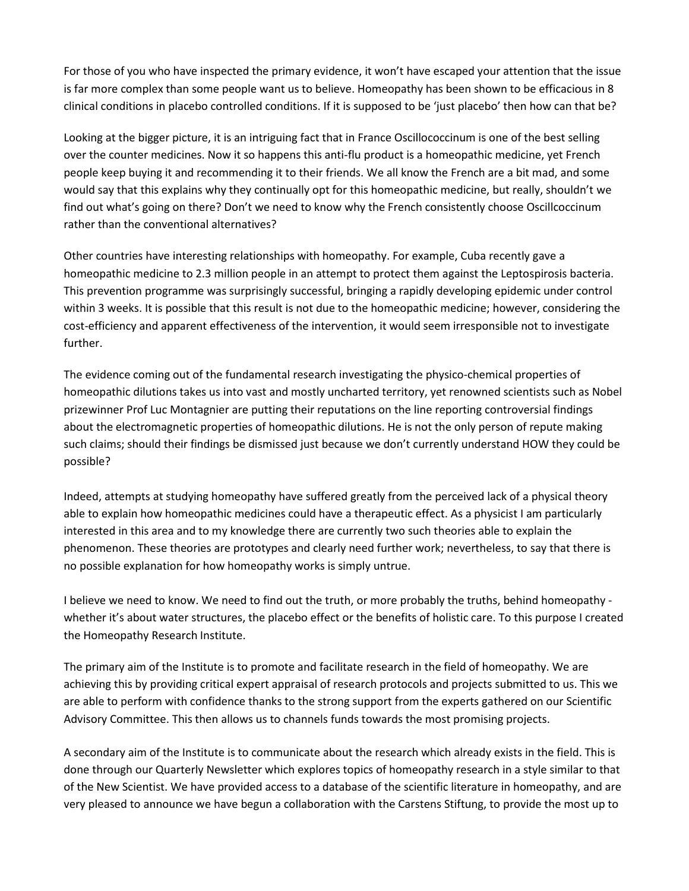For those of you who have inspected the primary evidence, it won't have escaped your attention that the issue is far more complex than some people want us to believe. Homeopathy has been shown to be efficacious in 8 clinical conditions in placebo controlled conditions. If it is supposed to be 'just placebo' then how can that be?

Looking at the bigger picture, it is an intriguing fact that in France Oscillococcinum is one of the best selling over the counter medicines. Now it so happens this anti-flu product is a homeopathic medicine, yet French people keep buying it and recommending it to their friends. We all know the French are a bit mad, and some would say that this explains why they continually opt for this homeopathic medicine, but really, shouldn't we find out what's going on there? Don't we need to know why the French consistently choose Oscillcoccinum rather than the conventional alternatives?

Other countries have interesting relationships with homeopathy. For example, Cuba recently gave a homeopathic medicine to 2.3 million people in an attempt to protect them against the Leptospirosis bacteria. This prevention programme was surprisingly successful, bringing a rapidly developing epidemic under control within 3 weeks. It is possible that this result is not due to the homeopathic medicine; however, considering the cost-efficiency and apparent effectiveness of the intervention, it would seem irresponsible not to investigate further.

The evidence coming out of the fundamental research investigating the physico-chemical properties of homeopathic dilutions takes us into vast and mostly uncharted territory, yet renowned scientists such as Nobel prizewinner Prof Luc Montagnier are putting their reputations on the line reporting controversial findings about the electromagnetic properties of homeopathic dilutions. He is not the only person of repute making such claims; should their findings be dismissed just because we don't currently understand HOW they could be possible?

Indeed, attempts at studying homeopathy have suffered greatly from the perceived lack of a physical theory able to explain how homeopathic medicines could have a therapeutic effect. As a physicist I am particularly interested in this area and to my knowledge there are currently two such theories able to explain the phenomenon. These theories are prototypes and clearly need further work; nevertheless, to say that there is no possible explanation for how homeopathy works is simply untrue.

I believe we need to know. We need to find out the truth, or more probably the truths, behind homeopathy whether it's about water structures, the placebo effect or the benefits of holistic care. To this purpose I created the Homeopathy Research Institute.

The primary aim of the Institute is to promote and facilitate research in the field of homeopathy. We are achieving this by providing critical expert appraisal of research protocols and projects submitted to us. This we are able to perform with confidence thanks to the strong support from the experts gathered on our Scientific Advisory Committee. This then allows us to channels funds towards the most promising projects.

A secondary aim of the Institute is to communicate about the research which already exists in the field. This is done through our Quarterly Newsletter which explores topics of homeopathy research in a style similar to that of the New Scientist. We have provided access to a database of the scientific literature in homeopathy, and are very pleased to announce we have begun a collaboration with the Carstens Stiftung, to provide the most up to